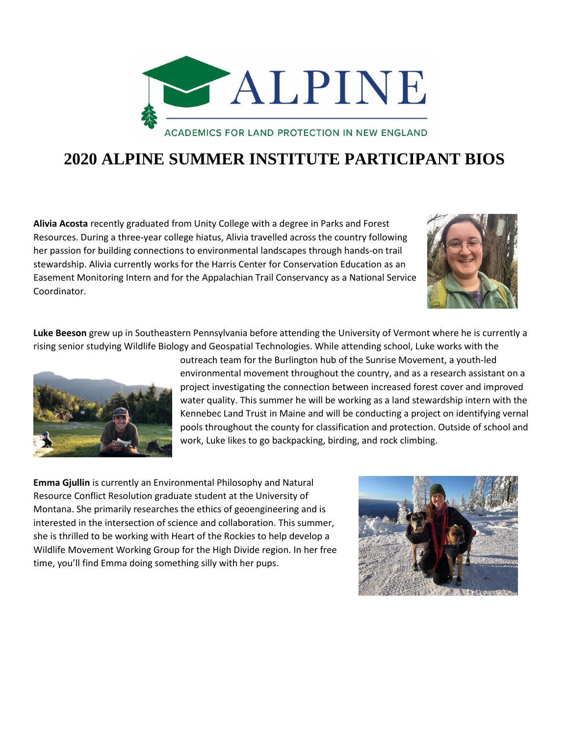

## **2020 ALPINE SUMMER INSTITUTE PARTICIPANT BIOS**

**Alivia Acosta** recently graduated from Unity College with a degree in Parks and Forest Resources. During a three-year college hiatus, Alivia travelled across the country following her passion for building connections to environmental landscapes through hands-on trail stewardship. Alivia currently works for the Harris Center for Conservation Education as an Easement Monitoring Intern and for the Appalachian Trail Conservancy as a National Service Coordinator.



**Luke Beeson** grew up in Southeastern Pennsylvania before attending the University of Vermont where he is currently a rising senior studying Wildlife Biology and Geospatial Technologies. While attending school, Luke works with the



outreach team for the Burlington hub of the Sunrise Movement, a youth-led environmental movement throughout the country, and as a research assistant on a project investigating the connection between increased forest cover and improved water quality. This summer he will be working as a land stewardship intern with the Kennebec Land Trust in Maine and will be conducting a project on identifying vernal pools throughout the county for classification and protection. Outside of school and work, Luke likes to go backpacking, birding, and rock climbing.

**Emma Gjullin** is currently an Environmental Philosophy and Natural Resource Conflict Resolution graduate student at the University of Montana. She primarily researches the ethics of geoengineering and is interested in the intersection of science and collaboration. This summer, she is thrilled to be working with Heart of the Rockies to help develop a Wildlife Movement Working Group for the High Divide region. In her free time, you'll find Emma doing something silly with her pups.

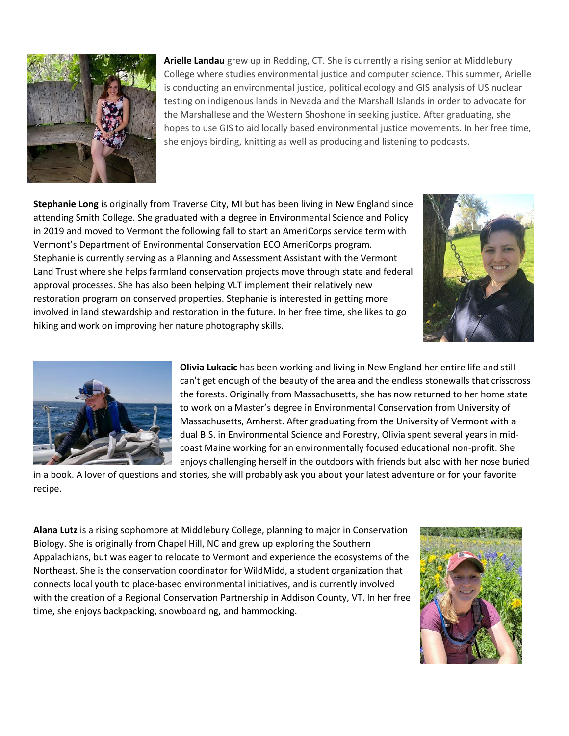

**Arielle Landau** grew up in Redding, CT. She is currently a rising senior at Middlebury College where studies environmental justice and computer science. This summer, Arielle is conducting an environmental justice, political ecology and GIS analysis of US nuclear testing on indigenous lands in Nevada and the Marshall Islands in order to advocate for the Marshallese and the Western Shoshone in seeking justice. After graduating, she hopes to use GIS to aid locally based environmental justice movements. In her free time, she enjoys birding, knitting as well as producing and listening to podcasts.

**Stephanie Long** is originally from Traverse City, MI but has been living in New England since attending Smith College. She graduated with a degree in Environmental Science and Policy in 2019 and moved to Vermont the following fall to start an AmeriCorps service term with Vermont's Department of Environmental Conservation ECO AmeriCorps program. Stephanie is currently serving as a Planning and Assessment Assistant with the Vermont Land Trust where she helps farmland conservation projects move through state and federal approval processes. She has also been helping VLT implement their relatively new restoration program on conserved properties. Stephanie is interested in getting more involved in land stewardship and restoration in the future. In her free time, she likes to go hiking and work on improving her nature photography skills.





**Olivia Lukacic** has been working and living in New England her entire life and still can't get enough of the beauty of the area and the endless stonewalls that crisscross the forests. Originally from Massachusetts, she has now returned to her home state to work on a Master's degree in Environmental Conservation from University of Massachusetts, Amherst. After graduating from the University of Vermont with a dual B.S. in Environmental Science and Forestry, Olivia spent several years in midcoast Maine working for an environmentally focused educational non-profit. She enjoys challenging herself in the outdoors with friends but also with her nose buried

in a book. A lover of questions and stories, she will probably ask you about your latest adventure or for your favorite recipe.

**Alana Lutz** is a rising sophomore at Middlebury College, planning to major in Conservation Biology. She is originally from Chapel Hill, NC and grew up exploring the Southern Appalachians, but was eager to relocate to Vermont and experience the ecosystems of the Northeast. She is the conservation coordinator for WildMidd, a student organization that connects local youth to place-based environmental initiatives, and is currently involved with the creation of a Regional Conservation Partnership in Addison County, VT. In her free time, she enjoys backpacking, snowboarding, and hammocking.

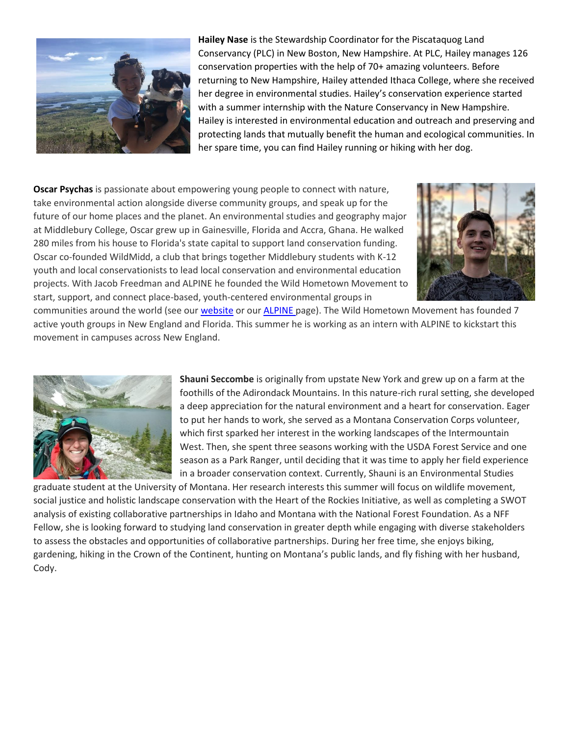

**Hailey Nase** is the Stewardship Coordinator for the Piscataquog Land Conservancy (PLC) in New Boston, New Hampshire. At PLC, Hailey manages 126 conservation properties with the help of 70+ amazing volunteers. Before returning to New Hampshire, Hailey attended Ithaca College, where she received her degree in environmental studies. Hailey's conservation experience started with a summer internship with the Nature Conservancy in New Hampshire. Hailey is interested in environmental education and outreach and preserving and protecting lands that mutually benefit the human and ecological communities. In her spare time, you can find Hailey running or hiking with her dog.

**Oscar Psychas** is passionate about empowering young people to connect with nature, take environmental action alongside diverse community groups, and speak up for the future of our home places and the planet. An environmental studies and geography major at Middlebury College, Oscar grew up in Gainesville, Florida and Accra, Ghana. He walked 280 miles from his house to Florida's state capital to support land conservation funding. Oscar co-founded WildMidd, a club that brings together Middlebury students with K-12 youth and local conservationists to lead local conservation and environmental education projects. With Jacob Freedman and ALPINE he founded the Wild Hometown Movement to start, support, and connect place-based, youth-centered environmental groups in



communities around the world (see our [website](http://www.wildhometown.org/) or ou[r ALPINE p](http://wildlandsandwoodlands.org/toolkit-for-student-leaders))age). The Wild Hometown Movement has founded 7 active youth groups in New England and Florida. This summer he is working as an intern with ALPINE to kickstart this movement in campuses across New England.



**Shauni Seccombe** is originally from upstate New York and grew up on a farm at the foothills of the Adirondack Mountains. In this nature-rich rural setting, she developed a deep appreciation for the natural environment and a heart for conservation. Eager to put her hands to work, she served as a Montana Conservation Corps volunteer, which first sparked her interest in the working landscapes of the Intermountain West. Then, she spent three seasons working with the USDA Forest Service and one season as a Park Ranger, until deciding that it was time to apply her field experience in a broader conservation context. Currently, Shauni is an Environmental Studies

graduate student at the University of Montana. Her research interests this summer will focus on wildlife movement, social justice and holistic landscape conservation with the Heart of the Rockies Initiative, as well as completing a SWOT analysis of existing collaborative partnerships in Idaho and Montana with the National Forest Foundation. As a NFF Fellow, she is looking forward to studying land conservation in greater depth while engaging with diverse stakeholders to assess the obstacles and opportunities of collaborative partnerships. During her free time, she enjoys biking, gardening, hiking in the Crown of the Continent, hunting on Montana's public lands, and fly fishing with her husband, Cody.